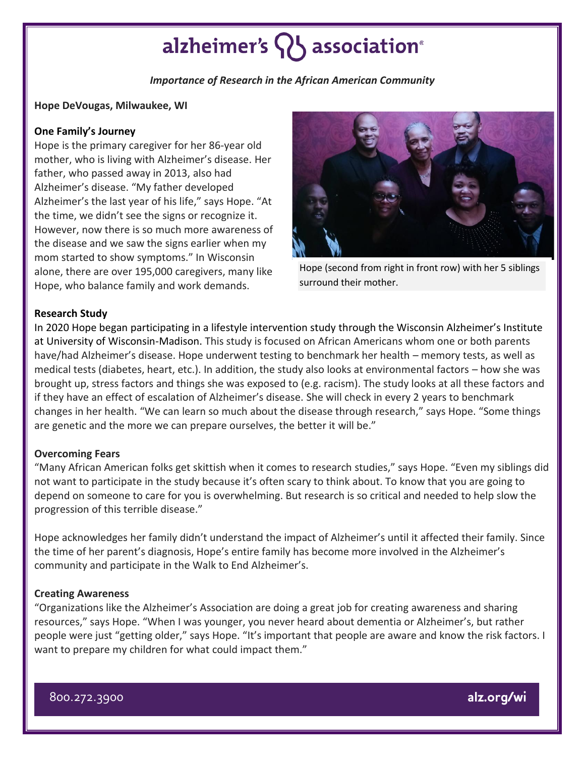# alzheimer's  $\{ \}$  association<sup>®</sup>

*Importance of Research in the African American Community*

#### **Hope DeVougas, Milwaukee, WI**

## **One Family's Journey**

Hope is the primary caregiver for her 86-year old mother, who is living with Alzheimer's disease. Her father, who passed away in 2013, also had Alzheimer's disease. "My father developed Alzheimer's the last year of his life," says Hope. "At the time, we didn't see the signs or recognize it. However, now there is so much more awareness of the disease and we saw the signs earlier when my mom started to show symptoms." In Wisconsin alone, there are over 195,000 caregivers, many like Hope, who balance family and work demands.



Hope (second from right in front row) with her 5 siblings surround their mother.

## **Research Study**

In 2020 Hope began participating in a lifestyle intervention study through the Wisconsin Alzheimer's Institute at University of Wisconsin-Madison. This study is focused on African Americans whom one or both parents have/had Alzheimer's disease. Hope underwent testing to benchmark her health – memory tests, as well as medical tests (diabetes, heart, etc.). In addition, the study also looks at environmental factors – how she was brought up, stress factors and things she was exposed to (e.g. racism). The study looks at all these factors and if they have an effect of escalation of Alzheimer's disease. She will check in every 2 years to benchmark changes in her health. "We can learn so much about the disease through research," says Hope. "Some things are genetic and the more we can prepare ourselves, the better it will be."

#### **Overcoming Fears**

"Many African American folks get skittish when it comes to research studies," says Hope. "Even my siblings did not want to participate in the study because it's often scary to think about. To know that you are going to depend on someone to care for you is overwhelming. But research is so critical and needed to help slow the progression of this terrible disease."

Hope acknowledges her family didn't understand the impact of Alzheimer's until it affected their family. Since the time of her parent's diagnosis, Hope's entire family has become more involved in the Alzheimer's community and participate in the Walk to End Alzheimer's.

#### **Creating Awareness**

"Organizations like the Alzheimer's Association are doing a great job for creating awareness and sharing resources," says Hope. "When I was younger, you never heard about dementia or Alzheimer's, but rather people were just "getting older," says Hope. "It's important that people are aware and know the risk factors. I want to prepare my children for what could impact them."